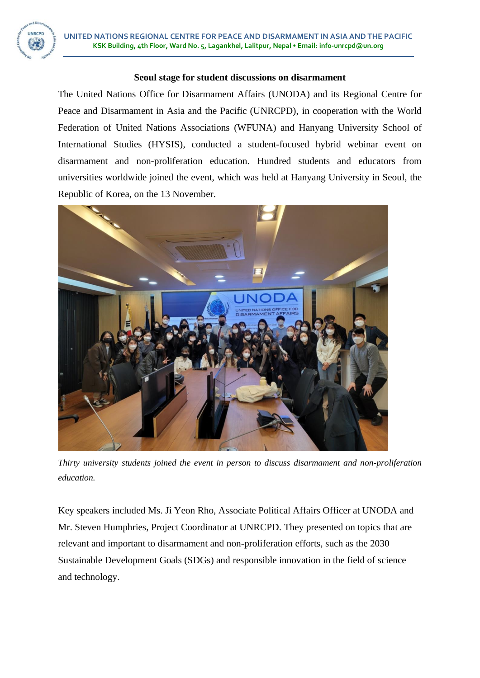**UNRCPD** 

## **Seoul stage for student discussions on disarmament**

The United Nations Office for Disarmament Affairs (UNODA) and its Regional Centre for Peace and Disarmament in Asia and the Pacific (UNRCPD), in cooperation with the World Federation of United Nations Associations (WFUNA) and Hanyang University School of International Studies (HYSIS), conducted a student-focused hybrid webinar event on disarmament and non-proliferation education. Hundred students and educators from universities worldwide joined the event, which was held at Hanyang University in Seoul, the Republic of Korea, on the 13 November.



*Thirty university students joined the event in person to discuss disarmament and non-proliferation education.*

Key speakers included Ms. Ji Yeon Rho, Associate Political Affairs Officer at UNODA and Mr. Steven Humphries, Project Coordinator at UNRCPD. They presented on topics that are relevant and important to disarmament and non-proliferation efforts, such as the 2030 Sustainable Development Goals (SDGs) and responsible innovation in the field of science and technology.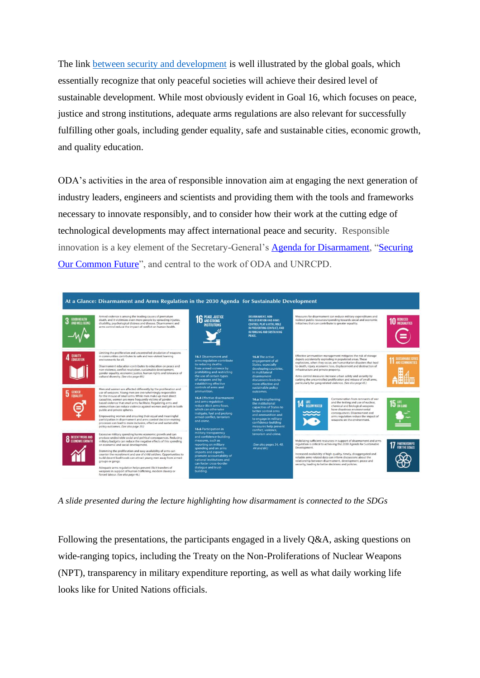The link [between security and development](https://www.un.org/disarmament/wp-content/uploads/2015/02/UNODA-SDG-Primer_v2.pdf) is well illustrated by the global goals, which essentially recognize that only peaceful societies will achieve their desired level of sustainable development. While most obviously evident in Goal 16, which focuses on peace, justice and strong institutions, adequate arms regulations are also relevant for successfully fulfilling other goals, including gender equality, safe and sustainable cities, economic growth, and quality education.

ODA's activities in the area of responsible innovation aim at engaging the next generation of industry leaders, engineers and scientists and providing them with the tools and frameworks necessary to innovate responsibly, and to consider how their work at the cutting edge of technological developments may affect international peace and security. Responsible innovation is a key element of the Secretary-General's [Agenda for Disarmament,](https://www.un.org/disarmament/sg-agenda/en/) "Securing [Our Common Future"](https://www.un.org/disarmament/sg-agenda/en/), and central to the work of ODA and UNRCPD.



*A slide presented during the lecture highlighting how disarmament is connected to the SDGs*

Following the presentations, the participants engaged in a lively Q&A, asking questions on wide-ranging topics, including the Treaty on the Non-Proliferations of Nuclear Weapons (NPT), transparency in military expenditure reporting, as well as what daily working life looks like for United Nations officials.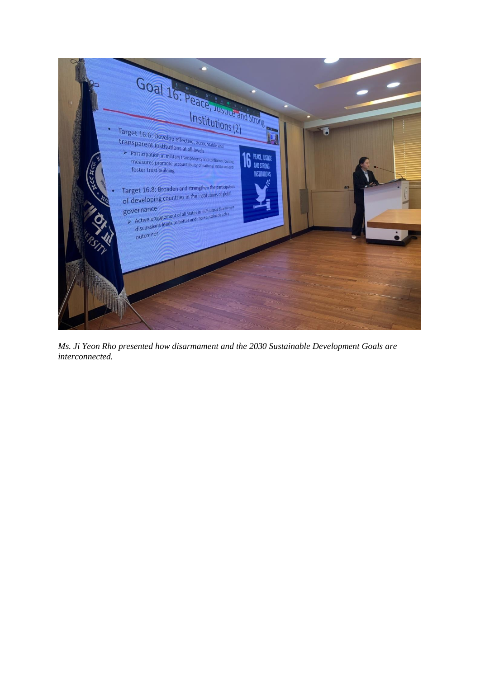

*Ms. Ji Yeon Rho presented how disarmament and the 2030 Sustainable Development Goals are interconnected.*